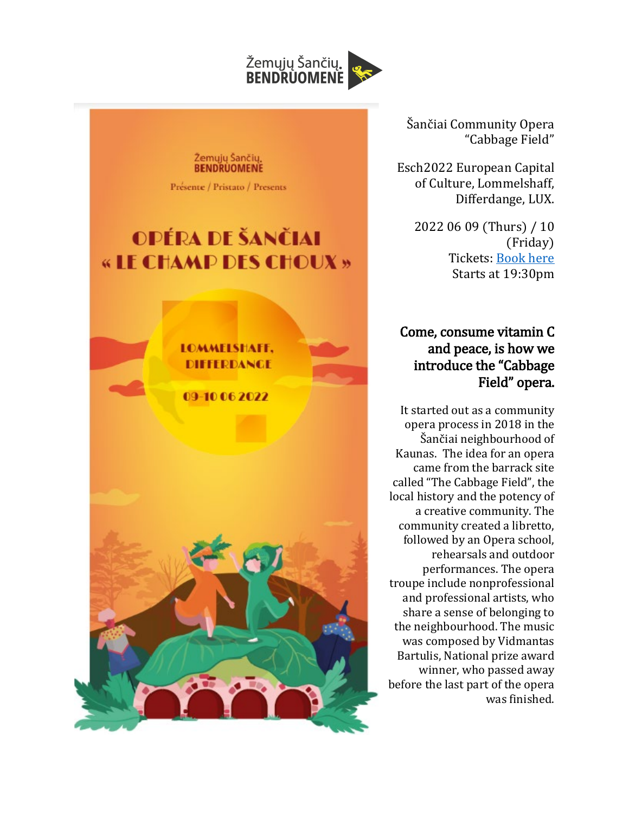

Šančiai Community Opera "Cabbage Field"

Esch2022 European Capital of Culture, Lommelshaff, Differdange, LUX.

> 2022 06 09 (Thurs) / 10 (Friday) Tickets: [Book here](https://www.supermiro.lu/en/events/416021-mainland-lommelshaffresidence-kaunas-sancai-opera-lommelshaff-differdange) Starts at 19:30pm

## Come, consume vitamin C and peace, is how we introduce the "Cabbage Field" opera.

It started out as a community opera process in 2018 in the Šančiai neighbourhood of Kaunas. The idea for an opera came from the barrack site called "The Cabbage Field", the local history and the potency of a creative community. The community created a libretto, followed by an Opera school, rehearsals and outdoor performances. The opera troupe include nonprofessional and professional artists, who share a sense of belonging to the neighbourhood. The music was composed by Vidmantas Bartulis, National prize award winner, who passed away before the last part of the opera was finished.

Žemųjų Šančių.<br>BENDRUOMENĖ

Présente / Pristato / Presents

## OPÉRA DE ŠANČIAI « LE CHAMP DES CHOUX »

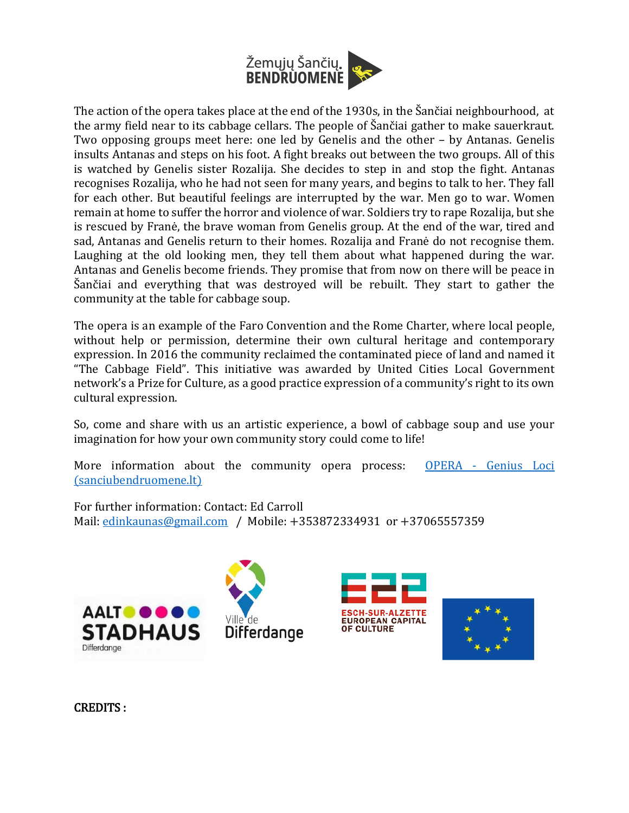

The action of the opera takes place at the end of the 1930s, in the Šančiai neighbourhood, at the army field near to its cabbage cellars. The people of Šančiai gather to make sauerkraut. Two opposing groups meet here: one led by Genelis and the other – by Antanas. Genelis insults Antanas and steps on his foot. A fight breaks out between the two groups. All of this is watched by Genelis sister Rozalija. She decides to step in and stop the fight. Antanas recognises Rozalija, who he had not seen for many years, and begins to talk to her. They fall for each other. But beautiful feelings are interrupted by the war. Men go to war. Women remain at home to suffer the horror and violence of war. Soldiers try to rape Rozalija, but she is rescued by Franė, the brave woman from Genelis group. At the end of the war, tired and sad, Antanas and Genelis return to their homes. Rozalija and Franė do not recognise them. Laughing at the old looking men, they tell them about what happened during the war. Antanas and Genelis become friends. They promise that from now on there will be peace in Šančiai and everything that was destroyed will be rebuilt. They start to gather the community at the table for cabbage soup.

The opera is an example of the Faro Convention and the Rome Charter, where local people, without help or permission, determine their own cultural heritage and contemporary expression. In 2016 the community reclaimed the contaminated piece of land and named it "The Cabbage Field". This initiative was awarded by United Cities Local Government network's a Prize for Culture, as a good practice expression of a community's right to its own cultural expression.

So, come and share with us an artistic experience, a bowl of cabbage soup and use your imagination for how your own community story could come to life!

More information about the community opera process: OPERA - [Genius Loci](https://sanciubendruomene.lt/lt/bendruomenes/zsb/opera/)  [\(sanciubendruomene.lt\)](https://sanciubendruomene.lt/lt/bendruomenes/zsb/opera/)

For further information: Contact: Ed Carroll Mail: [edinkaunas@gmail.com](mailto:edinkaunas@gmail.com) / Mobile: +353872334931 or +37065557359









CREDITS :